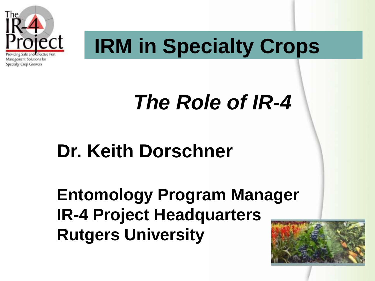

# **IRM in Specialty Crops**

# *The Role of IR-4*

# **Dr. Keith Dorschner**

**Entomology Program Manager IR-4 Project Headquarters Rutgers University**

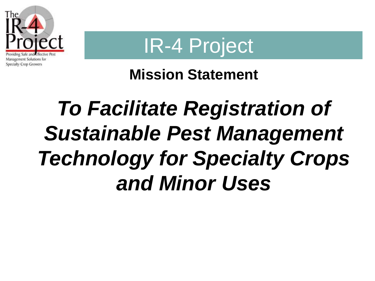



#### **Mission Statement**

# *To Facilitate Registration of Sustainable Pest Management Technology for Specialty Crops and Minor Uses*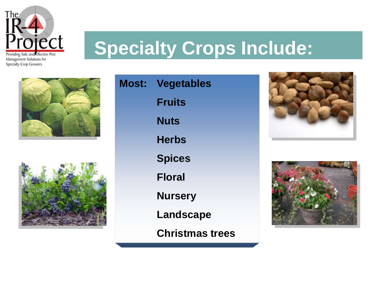

## **Specialty Crops Include:**





**Most: Vegetables Fruits Nuts Herbs Spices Floral Nursery Landscape** 

**Christmas trees**



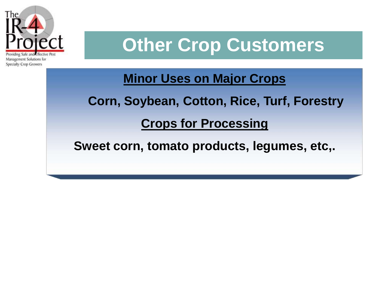

## **Other Crop Customers**

**Minor Uses on Major Crops** 

**Corn, Soybean, Cotton, Rice, Turf, Forestry**

**Crops for Processing**

**Sweet corn, tomato products, legumes, etc,.**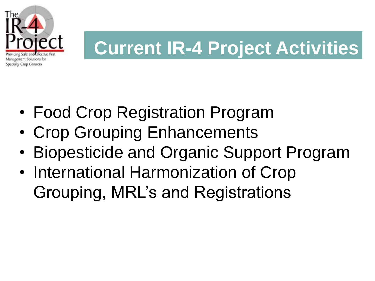

# **Current IR-4 Project Activities**

- Food Crop Registration Program
- Crop Grouping Enhancements
- Biopesticide and Organic Support Program
- International Harmonization of Crop Grouping, MRL's and Registrations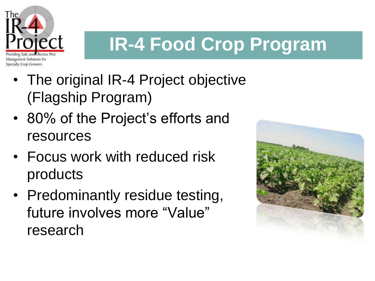

# **IR-4 Food Crop Program**

- The original IR-4 Project objective (Flagship Program)
- 80% of the Project's efforts and resources
- Focus work with reduced risk products
- Predominantly residue testing, future involves more "Value" research

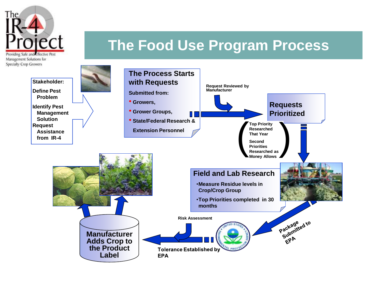

#### **The Food Use Program Process**

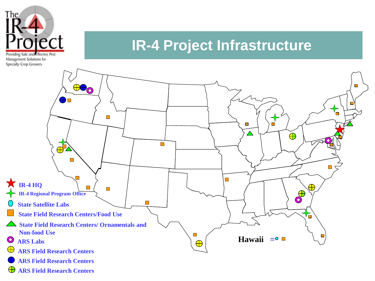

#### **IR-4 Project Infrastructure**



 $\oplus$ **ARS Field Research Centers**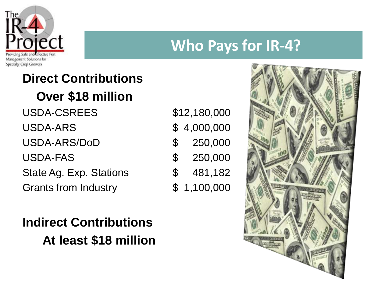

#### **Who Pays for IR-4?**

#### **Direct Contributions Over \$18 million**  USDA-CSREES USDA-ARS USDA-ARS/DoD USDA-FAS State Ag. Exp. Stations

Grants from Industry

#### **Indirect Contributions At least \$18 million**

| \$12,180,000         |             |
|----------------------|-------------|
|                      | \$4,000,000 |
| $\mathfrak{P}$       | 250,000     |
| $\mathfrak{F}% _{0}$ | 250,000     |
| \$                   | 481,182     |
| ${\mathbb S}^-$      | 1,100,000   |

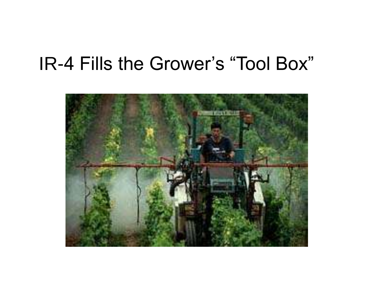## IR-4 Fills the Grower's "Tool Box"

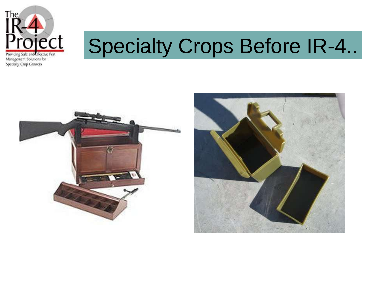

# Specialty Crops Before IR-4..



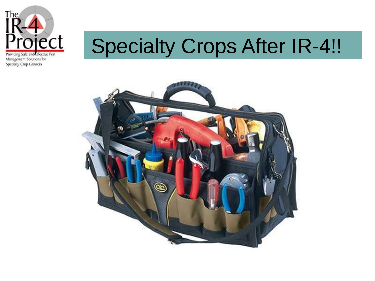

# Specialty Crops After IR-4!!

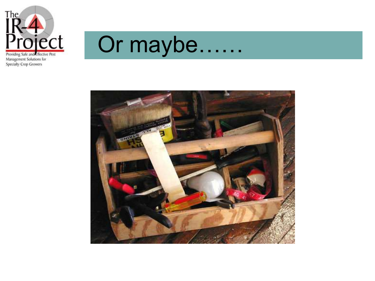

Or maybe……

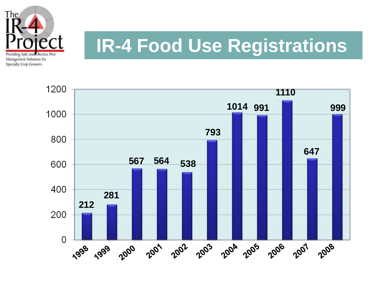

# **IR-4 Food Use Registrations**

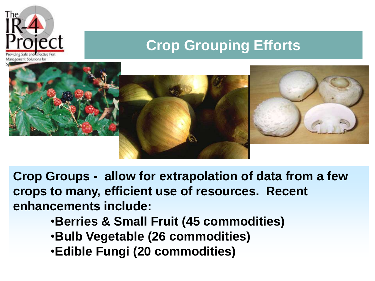

#### **Crop Grouping Efforts**



**Crop Groups - allow for extrapolation of data from a few crops to many, efficient use of resources. Recent enhancements include:**

- •**Berries & Small Fruit (45 commodities)**
- •**Bulb Vegetable (26 commodities)**
- •**Edible Fungi (20 commodities)**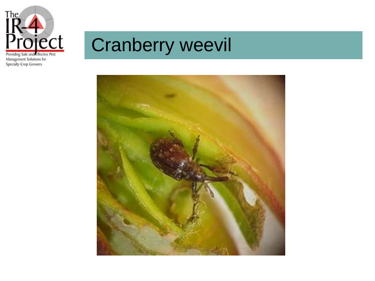

# Cranberry weevil

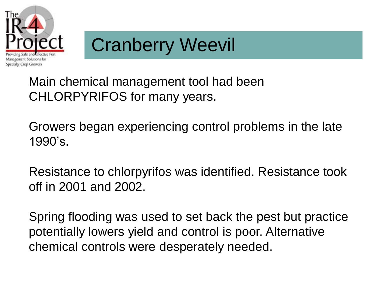

# Cranberry Weevil

Main chemical management tool had been CHLORPYRIFOS for many years.

Growers began experiencing control problems in the late 1990's.

Resistance to chlorpyrifos was identified. Resistance took off in 2001 and 2002.

Spring flooding was used to set back the pest but practice potentially lowers yield and control is poor. Alternative chemical controls were desperately needed.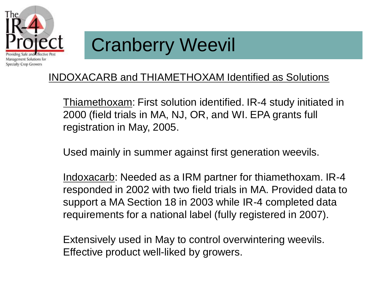

# Cranberry Weevil

#### INDOXACARB and THIAMETHOXAM Identified as Solutions

Thiamethoxam: First solution identified. IR-4 study initiated in 2000 (field trials in MA, NJ, OR, and WI. EPA grants full registration in May, 2005.

Used mainly in summer against first generation weevils.

Indoxacarb: Needed as a IRM partner for thiamethoxam. IR-4 responded in 2002 with two field trials in MA. Provided data to support a MA Section 18 in 2003 while IR-4 completed data requirements for a national label (fully registered in 2007).

Extensively used in May to control overwintering weevils. Effective product well-liked by growers.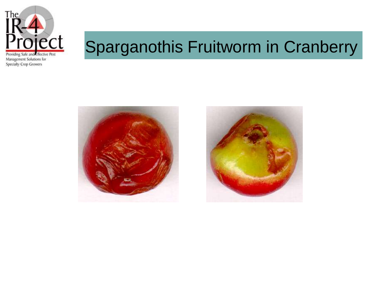

## Sparganothis Fruitworm in Cranberry



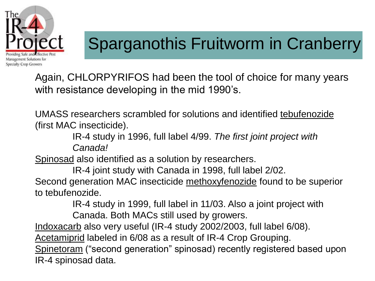

## Sparganothis Fruitworm in Cranberry

Again, CHLORPYRIFOS had been the tool of choice for many years with resistance developing in the mid 1990's.

UMASS researchers scrambled for solutions and identified tebufenozide (first MAC insecticide).

> IR-4 study in 1996, full label 4/99. *The first joint project with Canada!*

Spinosad also identified as a solution by researchers.

IR-4 joint study with Canada in 1998, full label 2/02.

Second generation MAC insecticide methoxyfenozide found to be superior to tebufenozide.

IR-4 study in 1999, full label in 11/03. Also a joint project with

Canada. Both MACs still used by growers.

Indoxacarb also very useful (IR-4 study 2002/2003, full label 6/08).

Acetamiprid labeled in 6/08 as a result of IR-4 Crop Grouping.

Spinetoram ("second generation" spinosad) recently registered based upon IR-4 spinosad data.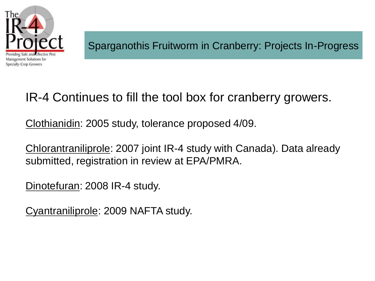

#### IR-4 Continues to fill the tool box for cranberry growers.

Clothianidin: 2005 study, tolerance proposed 4/09.

Chlorantraniliprole: 2007 joint IR-4 study with Canada). Data already submitted, registration in review at EPA/PMRA.

Dinotefuran: 2008 IR-4 study.

Cyantraniliprole: 2009 NAFTA study.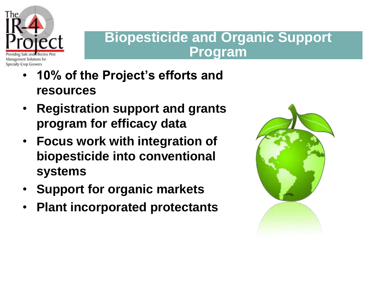

#### **Biopesticide and Organic Support Program**

- **10% of the Project's efforts and resources**
- **Registration support and grants program for efficacy data**
- **Focus work with integration of biopesticide into conventional systems**
- **Support for organic markets**
- **Plant incorporated protectants**

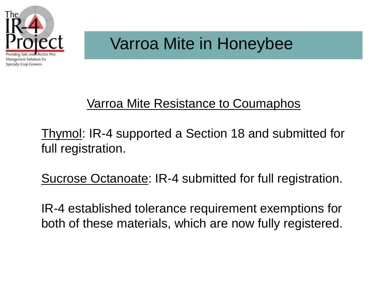

#### Varroa Mite in Honeybee

#### Varroa Mite Resistance to Coumaphos

Thymol: IR-4 supported a Section 18 and submitted for full registration.

Sucrose Octanoate: IR-4 submitted for full registration.

IR-4 established tolerance requirement exemptions for both of these materials, which are now fully registered.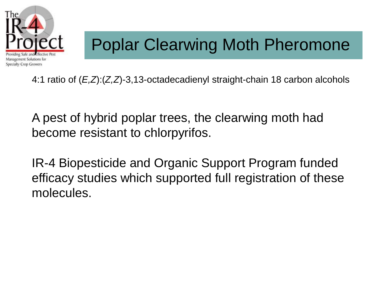

## Poplar Clearwing Moth Pheromone

4:1 ratio of (*E,Z*):(*Z,Z*)-3,13-octadecadienyl straight-chain 18 carbon alcohols

A pest of hybrid poplar trees, the clearwing moth had become resistant to chlorpyrifos.

IR-4 Biopesticide and Organic Support Program funded efficacy studies which supported full registration of these molecules.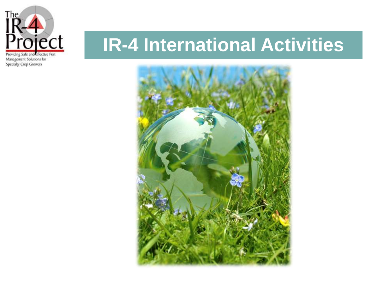

## **IR-4 International Activities**

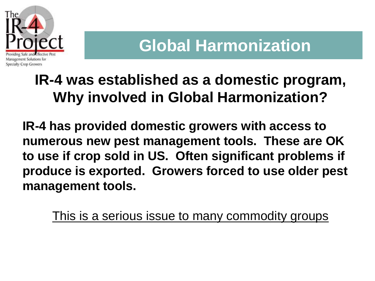

#### **Global Harmonization**

#### **IR-4 was established as a domestic program, Why involved in Global Harmonization?**

**IR-4 has provided domestic growers with access to numerous new pest management tools. These are OK to use if crop sold in US. Often significant problems if produce is exported. Growers forced to use older pest management tools.**

This is a serious issue to many commodity groups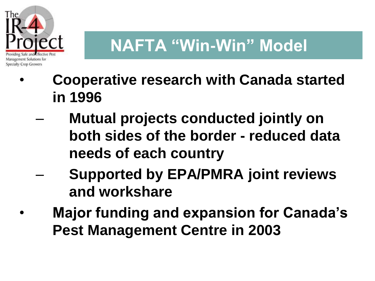

## **NAFTA "Win-Win" Model**

- **Cooperative research with Canada started in 1996**
	- **Mutual projects conducted jointly on both sides of the border - reduced data needs of each country**
	- **Supported by EPA/PMRA joint reviews and workshare**
- **Major funding and expansion for Canada's Pest Management Centre in 2003**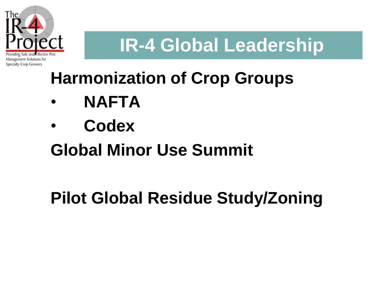

# **IR-4 Global Leadership**

## **Harmonization of Crop Groups**

- **NAFTA**
- **Codex**

## **Global Minor Use Summit**

## **Pilot Global Residue Study/Zoning**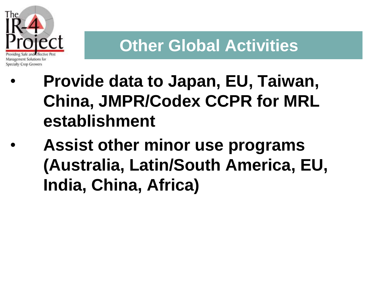

#### **Other Global Activities**

- **Provide data to Japan, EU, Taiwan, China, JMPR/Codex CCPR for MRL establishment**
- **Assist other minor use programs (Australia, Latin/South America, EU, India, China, Africa)**